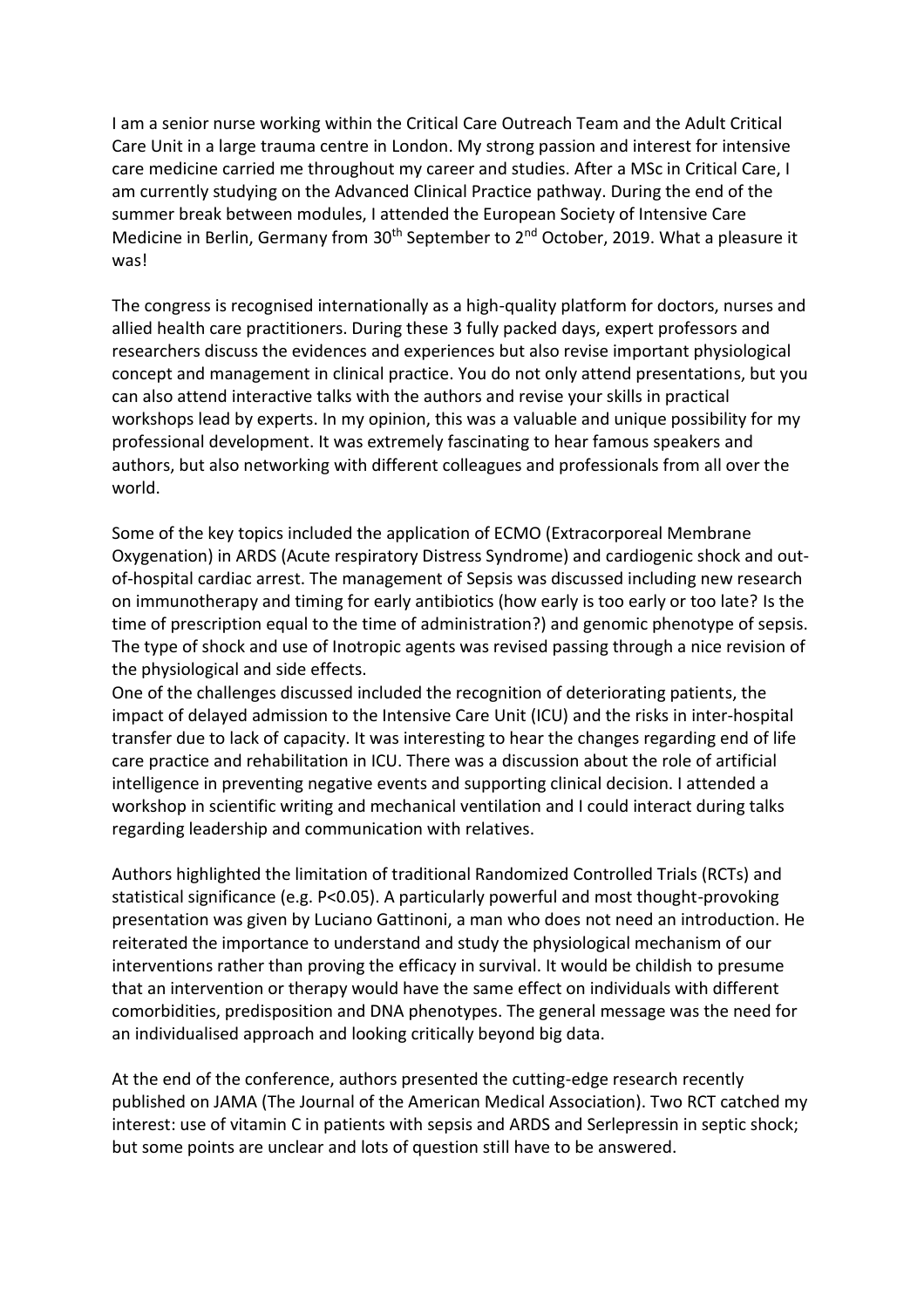I am a senior nurse working within the Critical Care Outreach Team and the Adult Critical Care Unit in a large trauma centre in London. My strong passion and interest for intensive care medicine carried me throughout my career and studies. After a MSc in Critical Care, I am currently studying on the Advanced Clinical Practice pathway. During the end of the summer break between modules, I attended the European Society of Intensive Care Medicine in Berlin, Germany from 30<sup>th</sup> September to 2<sup>nd</sup> October, 2019. What a pleasure it was!

The congress is recognised internationally as a high-quality platform for doctors, nurses and allied health care practitioners. During these 3 fully packed days, expert professors and researchers discuss the evidences and experiences but also revise important physiological concept and management in clinical practice. You do not only attend presentations, but you can also attend interactive talks with the authors and revise your skills in practical workshops lead by experts. In my opinion, this was a valuable and unique possibility for my professional development. It was extremely fascinating to hear famous speakers and authors, but also networking with different colleagues and professionals from all over the world.

Some of the key topics included the application of ECMO (Extracorporeal Membrane Oxygenation) in ARDS (Acute respiratory Distress Syndrome) and cardiogenic shock and outof-hospital cardiac arrest. The management of Sepsis was discussed including new research on immunotherapy and timing for early antibiotics (how early is too early or too late? Is the time of prescription equal to the time of administration?) and genomic phenotype of sepsis. The type of shock and use of Inotropic agents was revised passing through a nice revision of the physiological and side effects.

One of the challenges discussed included the recognition of deteriorating patients, the impact of delayed admission to the Intensive Care Unit (ICU) and the risks in inter-hospital transfer due to lack of capacity. It was interesting to hear the changes regarding end of life care practice and rehabilitation in ICU. There was a discussion about the role of artificial intelligence in preventing negative events and supporting clinical decision. I attended a workshop in scientific writing and mechanical ventilation and I could interact during talks regarding leadership and communication with relatives.

Authors highlighted the limitation of traditional Randomized Controlled Trials (RCTs) and statistical significance (e.g. P<0.05). A particularly powerful and most thought-provoking presentation was given by Luciano Gattinoni, a man who does not need an introduction. He reiterated the importance to understand and study the physiological mechanism of our interventions rather than proving the efficacy in survival. It would be childish to presume that an intervention or therapy would have the same effect on individuals with different comorbidities, predisposition and DNA phenotypes. The general message was the need for an individualised approach and looking critically beyond big data.

At the end of the conference, authors presented the cutting-edge research recently published on JAMA (The Journal of the American Medical Association). Two RCT catched my interest: use of vitamin C in patients with sepsis and ARDS and Serlepressin in septic shock; but some points are unclear and lots of question still have to be answered.